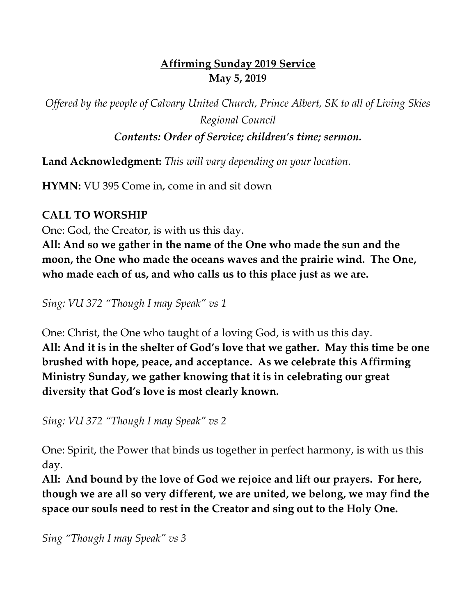# **Affirming Sunday 2019 Service May 5, 2019**

*Offered by the people of Calvary United Church, Prince Albert, SK to all of Living Skies Regional Council*

*Contents: Order of Service; children's time; sermon.*

**Land Acknowledgment:** *This will vary depending on your location.*

**HYMN:** VU 395 Come in, come in and sit down

# **CALL TO WORSHIP**

One: God, the Creator, is with us this day.

**All: And so we gather in the name of the One who made the sun and the moon, the One who made the oceans waves and the prairie wind. The One, who made each of us, and who calls us to this place just as we are.**

*Sing: VU 372 "Though I may Speak" vs 1*

One: Christ, the One who taught of a loving God, is with us this day. **All: And it is in the shelter of God's love that we gather. May this time be one brushed with hope, peace, and acceptance. As we celebrate this Affirming Ministry Sunday, we gather knowing that it is in celebrating our great diversity that God's love is most clearly known.**

*Sing: VU 372 "Though I may Speak" vs 2*

One: Spirit, the Power that binds us together in perfect harmony, is with us this day.

**All: And bound by the love of God we rejoice and lift our prayers. For here, though we are all so very different, we are united, we belong, we may find the space our souls need to rest in the Creator and sing out to the Holy One.**

*Sing "Though I may Speak" vs 3*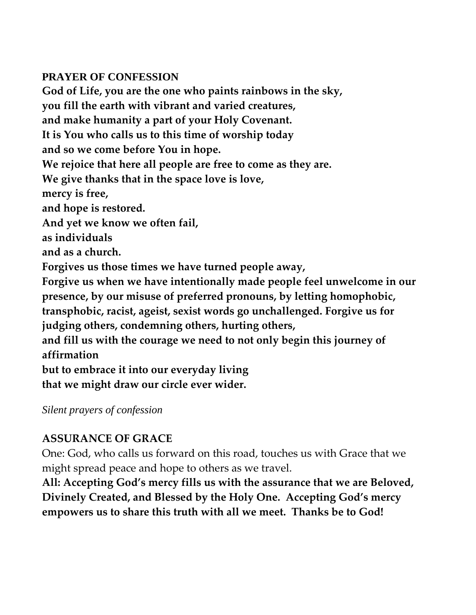#### **PRAYER OF CONFESSION**

**God of Life, you are the one who paints rainbows in the sky, you fill the earth with vibrant and varied creatures, and make humanity a part of your Holy Covenant. It is You who calls us to this time of worship today and so we come before You in hope. We rejoice that here all people are free to come as they are. We give thanks that in the space love is love, mercy is free, and hope is restored. And yet we know we often fail, as individuals and as a church. Forgives us those times we have turned people away, Forgive us when we have intentionally made people feel unwelcome in our presence, by our misuse of preferred pronouns, by letting homophobic, transphobic, racist, ageist, sexist words go unchallenged. Forgive us for judging others, condemning others, hurting others, and fill us with the courage we need to not only begin this journey of affirmation but to embrace it into our everyday living that we might draw our circle ever wider.**

*Silent prayers of confession*

# **ASSURANCE OF GRACE**

One: God, who calls us forward on this road, touches us with Grace that we might spread peace and hope to others as we travel.

**All: Accepting God's mercy fills us with the assurance that we are Beloved, Divinely Created, and Blessed by the Holy One. Accepting God's mercy empowers us to share this truth with all we meet. Thanks be to God!**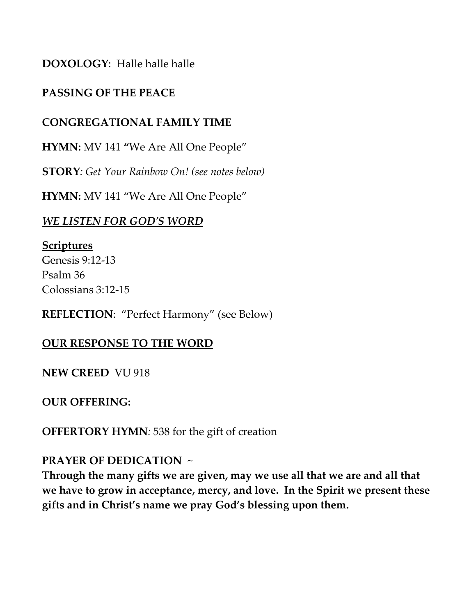## **DOXOLOGY**: Halle halle halle

## **PASSING OF THE PEACE**

#### **CONGREGATIONAL FAMILY TIME**

**HYMN:** MV 141 **"**We Are All One People"

**STORY***: Get Your Rainbow On! (see notes below)*

**HYMN:** MV 141 "We Are All One People"

#### *WE LISTEN FOR GOD'S WORD*

**Scriptures** Genesis 9:12-13 Psalm 36 Colossians 3:12-15

**REFLECTION**: "Perfect Harmony" (see Below)

#### **OUR RESPONSE TO THE WORD**

**NEW CREED** VU 918

**OUR OFFERING:** 

**OFFERTORY HYMN***:* 538 for the gift of creation

#### **PRAYER OF DEDICATION** ~

**Through the many gifts we are given, may we use all that we are and all that we have to grow in acceptance, mercy, and love. In the Spirit we present these gifts and in Christ's name we pray God's blessing upon them.**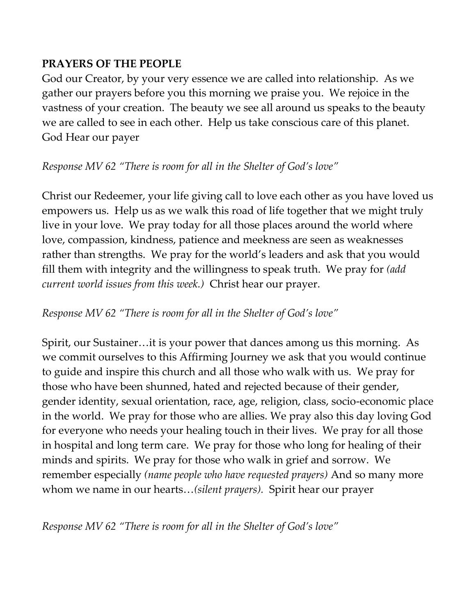## **PRAYERS OF THE PEOPLE**

God our Creator, by your very essence we are called into relationship. As we gather our prayers before you this morning we praise you. We rejoice in the vastness of your creation. The beauty we see all around us speaks to the beauty we are called to see in each other. Help us take conscious care of this planet. God Hear our payer

## *Response MV 62 "There is room for all in the Shelter of God's love"*

Christ our Redeemer, your life giving call to love each other as you have loved us empowers us. Help us as we walk this road of life together that we might truly live in your love. We pray today for all those places around the world where love, compassion, kindness, patience and meekness are seen as weaknesses rather than strengths. We pray for the world's leaders and ask that you would fill them with integrity and the willingness to speak truth. We pray for *(add current world issues from this week.)* Christ hear our prayer.

## *Response MV 62 "There is room for all in the Shelter of God's love"*

Spirit, our Sustainer…it is your power that dances among us this morning. As we commit ourselves to this Affirming Journey we ask that you would continue to guide and inspire this church and all those who walk with us. We pray for those who have been shunned, hated and rejected because of their gender, gender identity, sexual orientation, race, age, religion, class, socio-economic place in the world. We pray for those who are allies. We pray also this day loving God for everyone who needs your healing touch in their lives. We pray for all those in hospital and long term care. We pray for those who long for healing of their minds and spirits. We pray for those who walk in grief and sorrow. We remember especially *(name people who have requested prayers)* And so many more whom we name in our hearts…*(silent prayers).* Spirit hear our prayer

*Response MV 62 "There is room for all in the Shelter of God's love"*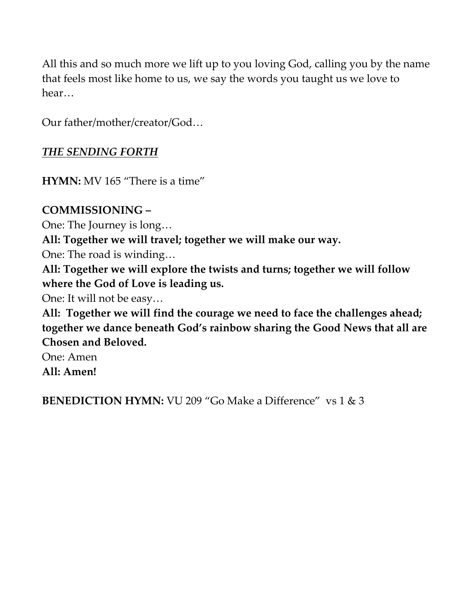All this and so much more we lift up to you loving God, calling you by the name that feels most like home to us, we say the words you taught us we love to hear…

Our father/mother/creator/God…

## *THE SENDING FORTH*

**HYMN:** MV 165 "There is a time"

## **COMMISSIONING –**

One: The Journey is long…

**All: Together we will travel; together we will make our way.**

One: The road is winding…

**All: Together we will explore the twists and turns; together we will follow where the God of Love is leading us.**

One: It will not be easy…

**All: Together we will find the courage we need to face the challenges ahead; together we dance beneath God's rainbow sharing the Good News that all are Chosen and Beloved.** 

One: Amen **All: Amen!**

**BENEDICTION HYMN:** VU 209 "Go Make a Difference" vs 1 & 3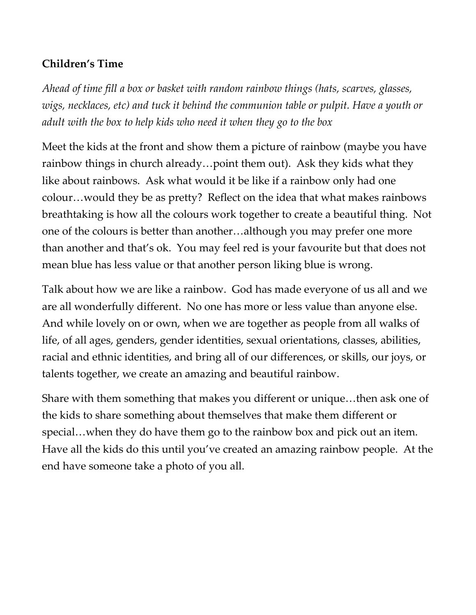# **Children's Time**

*Ahead of time fill a box or basket with random rainbow things (hats, scarves, glasses, wigs, necklaces, etc) and tuck it behind the communion table or pulpit. Have a youth or adult with the box to help kids who need it when they go to the box*

Meet the kids at the front and show them a picture of rainbow (maybe you have rainbow things in church already…point them out). Ask they kids what they like about rainbows. Ask what would it be like if a rainbow only had one colour…would they be as pretty? Reflect on the idea that what makes rainbows breathtaking is how all the colours work together to create a beautiful thing. Not one of the colours is better than another…although you may prefer one more than another and that's ok. You may feel red is your favourite but that does not mean blue has less value or that another person liking blue is wrong.

Talk about how we are like a rainbow. God has made everyone of us all and we are all wonderfully different. No one has more or less value than anyone else. And while lovely on or own, when we are together as people from all walks of life, of all ages, genders, gender identities, sexual orientations, classes, abilities, racial and ethnic identities, and bring all of our differences, or skills, our joys, or talents together, we create an amazing and beautiful rainbow.

Share with them something that makes you different or unique…then ask one of the kids to share something about themselves that make them different or special…when they do have them go to the rainbow box and pick out an item. Have all the kids do this until you've created an amazing rainbow people. At the end have someone take a photo of you all.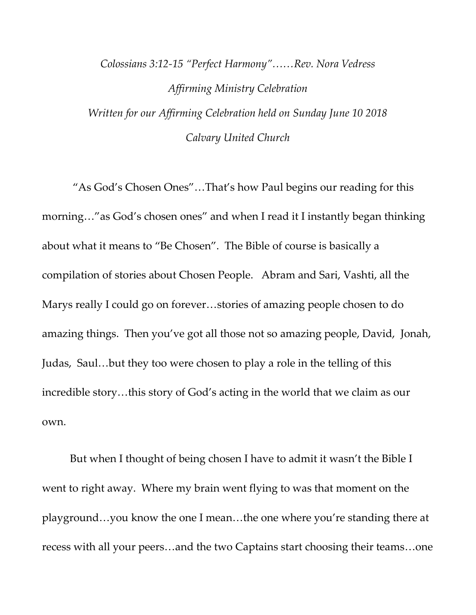# *Colossians 3:12-15 "Perfect Harmony"……Rev. Nora Vedress Affirming Ministry Celebration Written for our Affirming Celebration held on Sunday June 10 2018 Calvary United Church*

"As God's Chosen Ones"…That's how Paul begins our reading for this morning…"as God's chosen ones" and when I read it I instantly began thinking about what it means to "Be Chosen". The Bible of course is basically a compilation of stories about Chosen People. Abram and Sari, Vashti, all the Marys really I could go on forever…stories of amazing people chosen to do amazing things. Then you've got all those not so amazing people, David, Jonah, Judas, Saul…but they too were chosen to play a role in the telling of this incredible story…this story of God's acting in the world that we claim as our own.

But when I thought of being chosen I have to admit it wasn't the Bible I went to right away. Where my brain went flying to was that moment on the playground…you know the one I mean…the one where you're standing there at recess with all your peers…and the two Captains start choosing their teams…one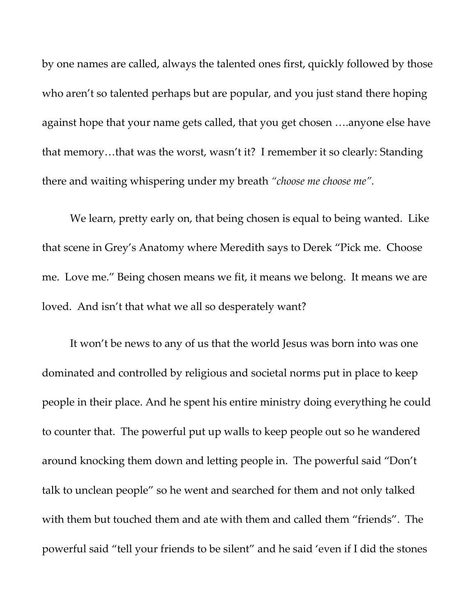by one names are called, always the talented ones first, quickly followed by those who aren't so talented perhaps but are popular, and you just stand there hoping against hope that your name gets called, that you get chosen ….anyone else have that memory…that was the worst, wasn't it? I remember it so clearly: Standing there and waiting whispering under my breath *"choose me choose me".*

We learn, pretty early on, that being chosen is equal to being wanted. Like that scene in Grey's Anatomy where Meredith says to Derek "Pick me. Choose me. Love me." Being chosen means we fit, it means we belong. It means we are loved. And isn't that what we all so desperately want?

It won't be news to any of us that the world Jesus was born into was one dominated and controlled by religious and societal norms put in place to keep people in their place. And he spent his entire ministry doing everything he could to counter that. The powerful put up walls to keep people out so he wandered around knocking them down and letting people in. The powerful said "Don't talk to unclean people" so he went and searched for them and not only talked with them but touched them and ate with them and called them "friends". The powerful said "tell your friends to be silent" and he said 'even if I did the stones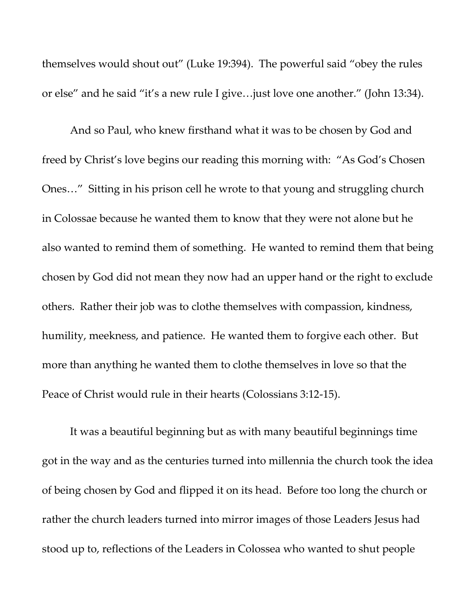themselves would shout out" (Luke 19:394). The powerful said "obey the rules or else" and he said "it's a new rule I give…just love one another." (John 13:34).

And so Paul, who knew firsthand what it was to be chosen by God and freed by Christ's love begins our reading this morning with: "As God's Chosen Ones…" Sitting in his prison cell he wrote to that young and struggling church in Colossae because he wanted them to know that they were not alone but he also wanted to remind them of something. He wanted to remind them that being chosen by God did not mean they now had an upper hand or the right to exclude others. Rather their job was to clothe themselves with compassion, kindness, humility, meekness, and patience. He wanted them to forgive each other. But more than anything he wanted them to clothe themselves in love so that the Peace of Christ would rule in their hearts (Colossians 3:12-15).

It was a beautiful beginning but as with many beautiful beginnings time got in the way and as the centuries turned into millennia the church took the idea of being chosen by God and flipped it on its head. Before too long the church or rather the church leaders turned into mirror images of those Leaders Jesus had stood up to, reflections of the Leaders in Colossea who wanted to shut people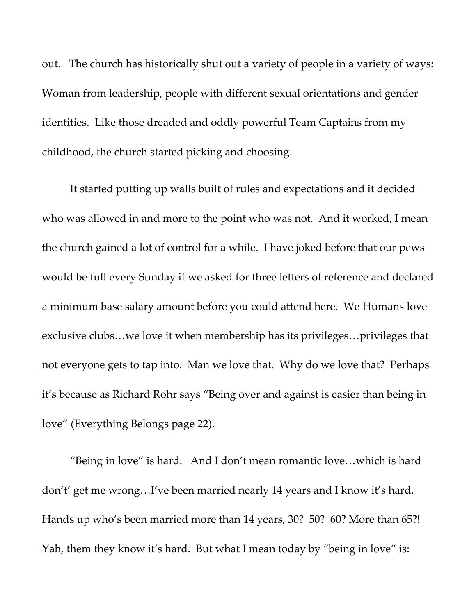out. The church has historically shut out a variety of people in a variety of ways: Woman from leadership, people with different sexual orientations and gender identities. Like those dreaded and oddly powerful Team Captains from my childhood, the church started picking and choosing.

It started putting up walls built of rules and expectations and it decided who was allowed in and more to the point who was not. And it worked, I mean the church gained a lot of control for a while. I have joked before that our pews would be full every Sunday if we asked for three letters of reference and declared a minimum base salary amount before you could attend here. We Humans love exclusive clubs…we love it when membership has its privileges…privileges that not everyone gets to tap into. Man we love that. Why do we love that? Perhaps it's because as Richard Rohr says "Being over and against is easier than being in love" (Everything Belongs page 22).

"Being in love" is hard. And I don't mean romantic love…which is hard don't' get me wrong…I've been married nearly 14 years and I know it's hard. Hands up who's been married more than 14 years, 30? 50? 60? More than 65?! Yah, them they know it's hard. But what I mean today by "being in love" is: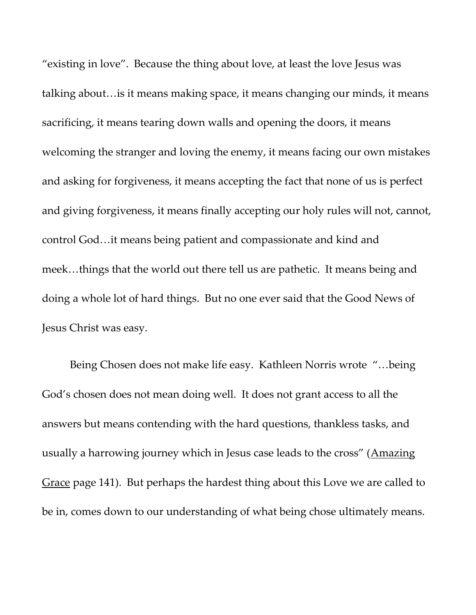"existing in love". Because the thing about love, at least the love Jesus was talking about…is it means making space, it means changing our minds, it means sacrificing, it means tearing down walls and opening the doors, it means welcoming the stranger and loving the enemy, it means facing our own mistakes and asking for forgiveness, it means accepting the fact that none of us is perfect and giving forgiveness, it means finally accepting our holy rules will not, cannot, control God…it means being patient and compassionate and kind and meek…things that the world out there tell us are pathetic. It means being and doing a whole lot of hard things. But no one ever said that the Good News of Jesus Christ was easy.

Being Chosen does not make life easy. Kathleen Norris wrote "…being God's chosen does not mean doing well. It does not grant access to all the answers but means contending with the hard questions, thankless tasks, and usually a harrowing journey which in Jesus case leads to the cross" (Amazing Grace page 141). But perhaps the hardest thing about this Love we are called to be in, comes down to our understanding of what being chose ultimately means.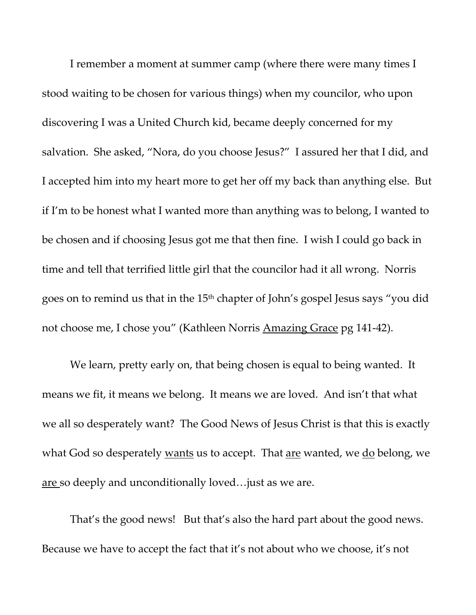I remember a moment at summer camp (where there were many times I stood waiting to be chosen for various things) when my councilor, who upon discovering I was a United Church kid, became deeply concerned for my salvation. She asked, "Nora, do you choose Jesus?" I assured her that I did, and I accepted him into my heart more to get her off my back than anything else. But if I'm to be honest what I wanted more than anything was to belong, I wanted to be chosen and if choosing Jesus got me that then fine. I wish I could go back in time and tell that terrified little girl that the councilor had it all wrong. Norris goes on to remind us that in the 15<sup>th</sup> chapter of John's gospel Jesus says "you did not choose me, I chose you" (Kathleen Norris Amazing Grace pg 141-42).

We learn, pretty early on, that being chosen is equal to being wanted. It means we fit, it means we belong. It means we are loved. And isn't that what we all so desperately want? The Good News of Jesus Christ is that this is exactly what God so desperately wants us to accept. That are wanted, we do belong, we are so deeply and unconditionally loved…just as we are.

That's the good news! But that's also the hard part about the good news. Because we have to accept the fact that it's not about who we choose, it's not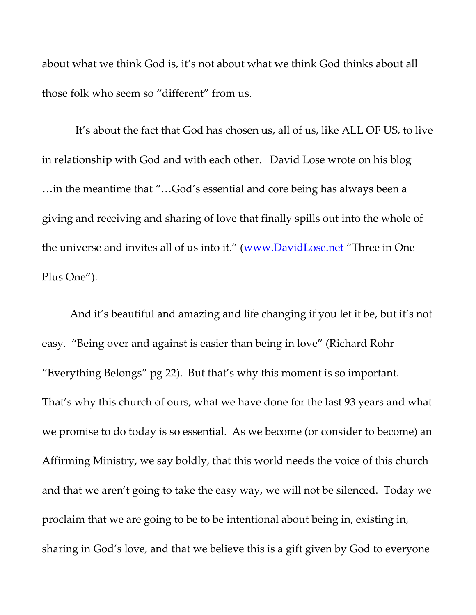about what we think God is, it's not about what we think God thinks about all those folk who seem so "different" from us.

 It's about the fact that God has chosen us, all of us, like ALL OF US, to live in relationship with God and with each other. David Lose wrote on his blog …in the meantime that "…God's essential and core being has always been a giving and receiving and sharing of love that finally spills out into the whole of the universe and invites all of us into it." ([www.DavidLose.net](http://www.davidlose.net/) "Three in One Plus One").

And it's beautiful and amazing and life changing if you let it be, but it's not easy. "Being over and against is easier than being in love" (Richard Rohr "Everything Belongs" pg 22). But that's why this moment is so important. That's why this church of ours, what we have done for the last 93 years and what we promise to do today is so essential. As we become (or consider to become) an Affirming Ministry, we say boldly, that this world needs the voice of this church and that we aren't going to take the easy way, we will not be silenced. Today we proclaim that we are going to be to be intentional about being in, existing in, sharing in God's love, and that we believe this is a gift given by God to everyone